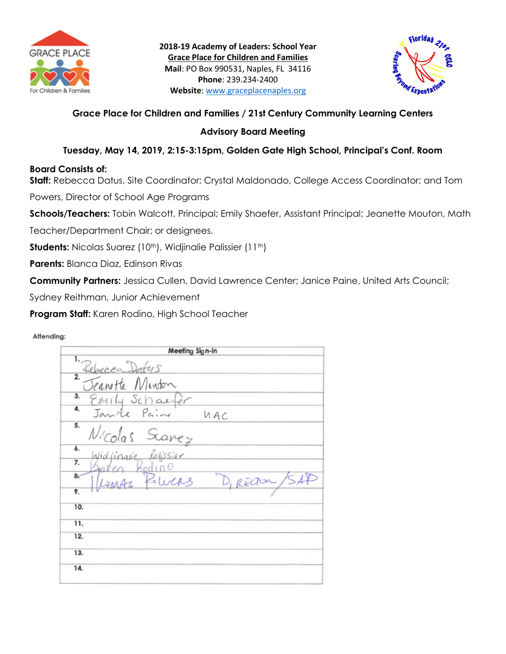



# **Grace Place for Children and Families / 21st Century Community Learning Centers**

# **Advisory Board Meeting**

# **Tuesday, May 14, 2019, 2:15-3:15pm, Golden Gate High School, Principal's Conf. Room**

# **Board Consists of:**

**Staff:** Rebecca Datus, Site Coordinator; Crystal Maldonado, College Access Coordinator; and Tom Powers, Director of School Age Programs

**Schools/Teachers:** Tobin Walcott, Principal; Emily Shaefer, Assistant Principal; Jeanette Mouton, Math

Teacher/Department Chair; or designees.

**Students:** Nicolas Suarez (10<sup>th</sup>), Widjinalie Palissier (11<sup>th</sup>)

**Parents:** Blanca Diaz, Edinson Rivas

**Community Partners:** Jessica Cullen, David Lawrence Center; Janice Paine, United Arts Council;

Sydney Reithman, Junior Achievement

**Program Staff:** Karen Rodino, High School Teacher

#### Attending:

| Meeting Sign-in                             |
|---------------------------------------------|
| 1.                                          |
| Rebecca Datus<br>Elemette Mindon<br>2.      |
| 3. Enrily Schaefer<br>4. Janiel Paine       |
| <b>NAC</b>                                  |
| 5.<br>Nicolas Scarez<br>Widjinale Palissier |
| 6.                                          |
| 7.                                          |
| 8 <sub>c</sub><br>Zwas<br>D, RECTOR /SA     |
| 9.                                          |
| 10.                                         |
| 11.                                         |
| 12.                                         |
| 13.                                         |
| 14.                                         |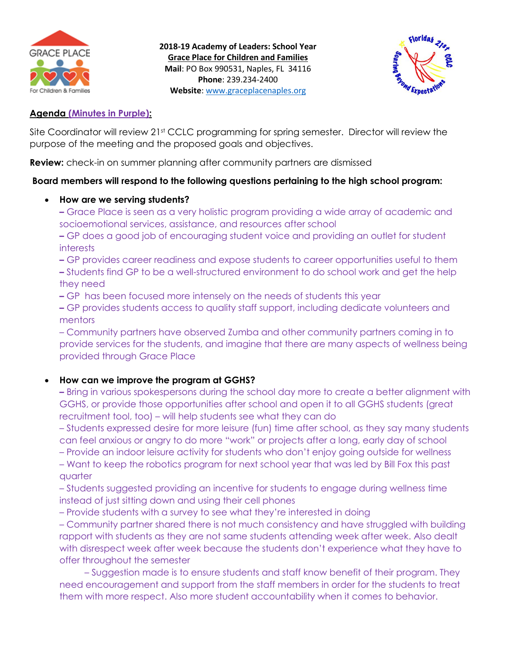

**2018-19 Academy of Leaders: School Year Grace Place for Children and Families Mail**: PO Box 990531, Naples, FL 34116 **Phone**: 239.234-2400 **Website**: [www.graceplacenaples.org](http://www.graceplacenaples.org/)



### **Agenda (Minutes in Purple):**

Site Coordinator will review 21st CCLC programming for spring semester. Director will review the purpose of the meeting and the proposed goals and objectives.

**Review:** check-in on summer planning after community partners are dismissed

### **Board members will respond to the following questions pertaining to the high school program:**

### **How are we serving students?**

**–** Grace Place is seen as a very holistic program providing a wide array of academic and socioemotional services, assistance, and resources after school

**–** GP does a good job of encouraging student voice and providing an outlet for student interests

**–** GP provides career readiness and expose students to career opportunities useful to them **–** Students find GP to be a well-structured environment to do school work and get the help they need

**–** GP has been focused more intensely on the needs of students this year

**–** GP provides students access to quality staff support, including dedicate volunteers and mentors

– Community partners have observed Zumba and other community partners coming in to provide services for the students, and imagine that there are many aspects of wellness being provided through Grace Place

# **How can we improve the program at GGHS?**

**–** Bring in various spokespersons during the school day more to create a better alignment with GGHS, or provide those opportunities after school and open it to all GGHS students (great recruitment tool, too) – will help students see what they can do

– Students expressed desire for more leisure (fun) time after school, as they say many students can feel anxious or angry to do more "work" or projects after a long, early day of school

– Provide an indoor leisure activity for students who don't enjoy going outside for wellness

– Want to keep the robotics program for next school year that was led by Bill Fox this past quarter

– Students suggested providing an incentive for students to engage during wellness time instead of just sitting down and using their cell phones

– Provide students with a survey to see what they're interested in doing

– Community partner shared there is not much consistency and have struggled with building rapport with students as they are not same students attending week after week. Also dealt with disrespect week after week because the students don't experience what they have to offer throughout the semester

 – Suggestion made is to ensure students and staff know benefit of their program. They need encouragement and support from the staff members in order for the students to treat them with more respect. Also more student accountability when it comes to behavior.